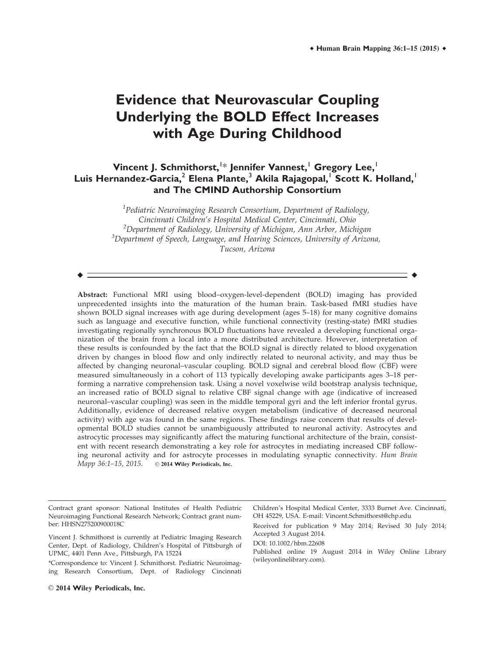# **Evidence that Neurovascular Coupling Underlying the BOLD Effect Increases with Age During Childhood**

# **Vincent J. Schmithorst,**<sup>1</sup> \* **Jennifer Vannest,**<sup>1</sup> **Gregory Lee,**<sup>1</sup> **Luis Hernandez-Garcia,**<sup>2</sup> **Elena Plante,**<sup>3</sup> **Akila Rajagopal,**<sup>1</sup> **Scott K. Holland,**<sup>1</sup> **and The CMIND Authorship Consortium**

<sup>1</sup> Pediatric Neuroimaging Research Consortium, Department of Radiology, Cincinnati Children's Hospital Medical Center, Cincinnati, Ohio <sup>2</sup>Department of Radiology, University of Michigan, Ann Arbor, Michigan <sup>3</sup>Department of Speech, Language, and Hearing Sciences, University of Arizona, Tucson, Arizona

r r

Abstract: Functional MRI using blood–oxygen-level-dependent (BOLD) imaging has provided unprecedented insights into the maturation of the human brain. Task-based fMRI studies have shown BOLD signal increases with age during development (ages 5–18) for many cognitive domains such as language and executive function, while functional connectivity (resting-state) fMRI studies investigating regionally synchronous BOLD fluctuations have revealed a developing functional organization of the brain from a local into a more distributed architecture. However, interpretation of these results is confounded by the fact that the BOLD signal is directly related to blood oxygenation driven by changes in blood flow and only indirectly related to neuronal activity, and may thus be affected by changing neuronal–vascular coupling. BOLD signal and cerebral blood flow (CBF) were measured simultaneously in a cohort of 113 typically developing awake participants ages 3–18 performing a narrative comprehension task. Using a novel voxelwise wild bootstrap analysis technique, an increased ratio of BOLD signal to relative CBF signal change with age (indicative of increased neuronal–vascular coupling) was seen in the middle temporal gyri and the left inferior frontal gyrus. Additionally, evidence of decreased relative oxygen metabolism (indicative of decreased neuronal activity) with age was found in the same regions. These findings raise concern that results of developmental BOLD studies cannot be unambiguously attributed to neuronal activity. Astrocytes and astrocytic processes may significantly affect the maturing functional architecture of the brain, consistent with recent research demonstrating a key role for astrocytes in mediating increased CBF following neuronal activity and for astrocyte processes in modulating synaptic connectivity. Hum Brain Mapp 36:1-15, 2015. © 2014 Wiley Periodicals, Inc.

| Contract grant sponsor: National Institutes of Health Pediatric                                                                       | Children's Hospital Medical Center, 3333 Burnet Ave. Cincinnati, |
|---------------------------------------------------------------------------------------------------------------------------------------|------------------------------------------------------------------|
| Neuroimaging Functional Research Network; Contract grant num-                                                                         | OH 45229, USA. E-mail: Vincent.Schmithorst@chp.edu               |
| ber: HHSN275200900018C                                                                                                                | Received for publication 9 May 2014; Revised 30 July 2014;       |
| Vincent J. Schmithorst is currently at Pediatric Imaging Research<br>Center, Dept. of Radiology, Children's Hospital of Pittsburgh of | Accepted 3 August 2014.                                          |
|                                                                                                                                       | DOI: 10.1002/hbm.22608                                           |
| UPMC, 4401 Penn Ave., Pittsburgh, PA 15224                                                                                            | Published online 19 August 2014 in Wiley Online Library          |

\*Correspondence to: Vincent J. Schmithorst. Pediatric Neuroimaging Research Consortium, Dept. of Radiology Cincinnati (wileyonlinelibrary.com).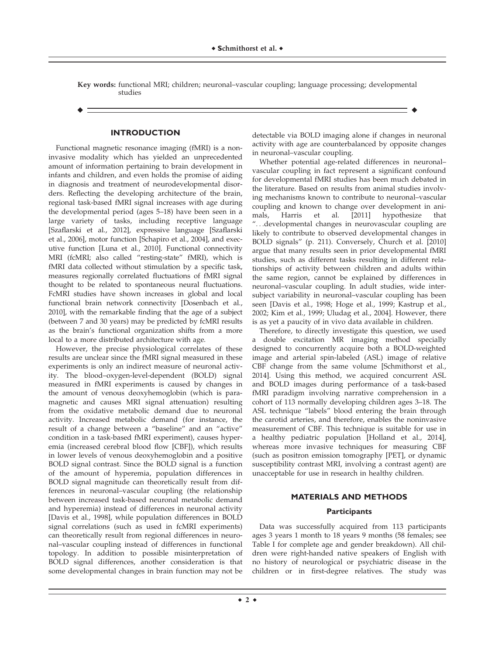Key words: functional MRI; children; neuronal–vascular coupling; language processing; developmental studies

r r

## **INTRODUCTION**

Functional magnetic resonance imaging (fMRI) is a noninvasive modality which has yielded an unprecedented amount of information pertaining to brain development in infants and children, and even holds the promise of aiding in diagnosis and treatment of neurodevelopmental disorders. Reflecting the developing architecture of the brain, regional task-based fMRI signal increases with age during the developmental period (ages 5–18) have been seen in a large variety of tasks, including receptive language [Szaflarski et al., 2012], expressive language [Szaflarski et al., 2006], motor function [Schapiro et al., 2004], and executive function [Luna et al., 2010]. Functional connectivity MRI (fcMRI; also called "resting-state" fMRI), which is fMRI data collected without stimulation by a specific task, measures regionally correlated fluctuations of fMRI signal thought to be related to spontaneous neural fluctuations. FcMRI studies have shown increases in global and local functional brain network connectivity [Dosenbach et al., 2010], with the remarkable finding that the age of a subject (between 7 and 30 years) may be predicted by fcMRI results as the brain's functional organization shifts from a more local to a more distributed architecture with age.

However, the precise physiological correlates of these results are unclear since the fMRI signal measured in these experiments is only an indirect measure of neuronal activity. The blood–oxygen-level-dependent (BOLD) signal measured in fMRI experiments is caused by changes in the amount of venous deoxyhemoglobin (which is paramagnetic and causes MRI signal attenuation) resulting from the oxidative metabolic demand due to neuronal activity. Increased metabolic demand (for instance, the result of a change between a "baseline" and an "active" condition in a task-based fMRI experiment), causes hyperemia (increased cerebral blood flow [CBF]), which results in lower levels of venous deoxyhemoglobin and a positive BOLD signal contrast. Since the BOLD signal is a function of the amount of hyperemia, population differences in BOLD signal magnitude can theoretically result from differences in neuronal–vascular coupling (the relationship between increased task-based neuronal metabolic demand and hyperemia) instead of differences in neuronal activity [Davis et al., 1998], while population differences in BOLD signal correlations (such as used in fcMRI experiments) can theoretically result from regional differences in neuronal–vascular coupling instead of differences in functional topology. In addition to possible misinterpretation of BOLD signal differences, another consideration is that some developmental changes in brain function may not be

detectable via BOLD imaging alone if changes in neuronal activity with age are counterbalanced by opposite changes in neuronal–vascular coupling.

Whether potential age-related differences in neuronal– vascular coupling in fact represent a significant confound for developmental fMRI studies has been much debated in the literature. Based on results from animal studies involving mechanisms known to contribute to neuronal–vascular coupling and known to change over development in animals, Harris et al. [2011] hypothesize that "...developmental changes in neurovascular coupling are likely to contribute to observed developmental changes in BOLD signals" (p. 211). Conversely, Church et al. [2010] argue that many results seen in prior developmental fMRI studies, such as different tasks resulting in different relationships of activity between children and adults within the same region, cannot be explained by differences in neuronal–vascular coupling. In adult studies, wide intersubject variability in neuronal–vascular coupling has been seen [Davis et al., 1998; Hoge et al., 1999; Kastrup et al., 2002; Kim et al., 1999; Uludag et al., 2004]. However, there is as yet a paucity of in vivo data available in children.

Therefore, to directly investigate this question, we used a double excitation MR imaging method specially designed to concurrently acquire both a BOLD-weighted image and arterial spin-labeled (ASL) image of relative CBF change from the same volume [Schmithorst et al., 2014]. Using this method, we acquired concurrent ASL and BOLD images during performance of a task-based fMRI paradigm involving narrative comprehension in a cohort of 113 normally developing children ages 3–18. The ASL technique "labels" blood entering the brain through the carotid arteries, and therefore, enables the noninvasive measurement of CBF. This technique is suitable for use in a healthy pediatric population [Holland et al., 2014], whereas more invasive techniques for measuring CBF (such as positron emission tomography [PET], or dynamic susceptibility contrast MRI, involving a contrast agent) are unacceptable for use in research in healthy children.

#### **MATERIALS AND METHODS**

#### **Participants**

Data was successfully acquired from 113 participants ages 3 years 1 month to 18 years 9 months (58 females; see Table I for complete age and gender breakdown). All children were right-handed native speakers of English with no history of neurological or psychiatric disease in the children or in first-degree relatives. The study was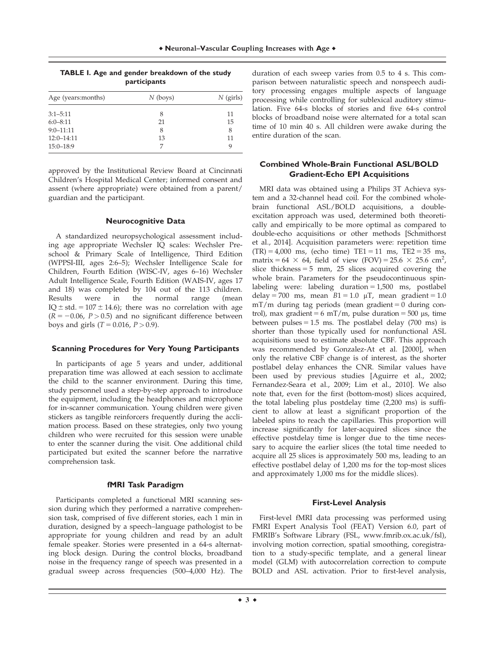| TABLE I. Age and gender breakdown of the study |  |  |  |  |  |
|------------------------------------------------|--|--|--|--|--|
| participants                                   |  |  |  |  |  |

| Age (years:months) | $N$ (boys) | $N$ (girls) |  |
|--------------------|------------|-------------|--|
| $3:1 - 5:11$       | 8          | 11          |  |
| $6:0 - 8:11$       | 21         | 15          |  |
| $9:0 - 11:11$      | 8          | 8           |  |
| $12:0 - 14:11$     | 13         | 11          |  |
| $15:0 - 18:9$      |            | 9           |  |

approved by the Institutional Review Board at Cincinnati Children's Hospital Medical Center; informed consent and assent (where appropriate) were obtained from a parent/ guardian and the participant.

# **Neurocognitive Data**

A standardized neuropsychological assessment including age appropriate Wechsler IQ scales: Wechsler Preschool & Primary Scale of Intelligence, Third Edition (WPPSI-III, ages 2:6–5); Wechsler Intelligence Scale for Children, Fourth Edition (WISC-IV, ages 6–16) Wechsler Adult Intelligence Scale, Fourth Edition (WAIS-IV, ages 17 and 18) was completed by 104 out of the 113 children. Results were in the normal range (mean IQ  $\pm$  std. = 107  $\pm$  14.6); there was no correlation with age  $(R = -0.06, P > 0.5)$  and no significant difference between boys and girls ( $T = 0.016$ ,  $P > 0.9$ ).

#### **Scanning Procedures for Very Young Participants**

In participants of age 5 years and under, additional preparation time was allowed at each session to acclimate the child to the scanner environment. During this time, study personnel used a step-by-step approach to introduce the equipment, including the headphones and microphone for in-scanner communication. Young children were given stickers as tangible reinforcers frequently during the acclimation process. Based on these strategies, only two young children who were recruited for this session were unable to enter the scanner during the visit. One additional child participated but exited the scanner before the narrative comprehension task.

#### **fMRI Task Paradigm**

Participants completed a functional MRI scanning session during which they performed a narrative comprehension task, comprised of five different stories, each 1 min in duration, designed by a speech–language pathologist to be appropriate for young children and read by an adult female speaker. Stories were presented in a 64-s alternating block design. During the control blocks, broadband noise in the frequency range of speech was presented in a gradual sweep across frequencies (500–4,000 Hz). The

duration of each sweep varies from 0.5 to 4 s. This comparison between naturalistic speech and nonspeech auditory processing engages multiple aspects of language processing while controlling for sublexical auditory stimulation. Five 64-s blocks of stories and five 64-s control blocks of broadband noise were alternated for a total scan time of 10 min 40 s. All children were awake during the entire duration of the scan.

# **Combined Whole-Brain Functional ASL/BOLD Gradient-Echo EPI Acquisitions**

MRI data was obtained using a Philips 3T Achieva system and a 32-channel head coil. For the combined wholebrain functional ASL/BOLD acquisitions, a doubleexcitation approach was used, determined both theoretically and empirically to be more optimal as compared to double-echo acquisitions or other methods [Schmithorst et al., 2014]. Acquisition parameters were: repetition time  $(TR) = 4,000$  ms, (echo time) TE1 = 11 ms, TE2 = 35 ms, matrix = 64  $\times$  64, field of view (FOV) = 25.6  $\times$  25.6 cm<sup>2</sup>, slice thickness =  $5 \text{ mm}$ , 2 $5 \text{ slices}$  acquired covering the whole brain. Parameters for the pseudocontinuous spinlabeling were: labeling duration  $= 1,500$  ms, postlabel delay = 700 ms, mean  $B1 = 1.0 \mu T$ , mean gradient = 1.0  $mT/m$  during tag periods (mean gradient = 0 during control), max gradient = 6 mT/m, pulse duration =  $500 \mu s$ , time between pulses  $= 1.5$  ms. The postlabel delay (700 ms) is shorter than those typically used for nonfunctional ASL acquisitions used to estimate absolute CBF. This approach was recommended by Gonzalez-At et al. [2000], when only the relative CBF change is of interest, as the shorter postlabel delay enhances the CNR. Similar values have been used by previous studies [Aguirre et al., 2002; Fernandez-Seara et al., 2009; Lim et al., 2010]. We also note that, even for the first (bottom-most) slices acquired, the total labeling plus postdelay time (2,200 ms) is sufficient to allow at least a significant proportion of the labeled spins to reach the capillaries. This proportion will increase significantly for later-acquired slices since the effective postdelay time is longer due to the time necessary to acquire the earlier slices (the total time needed to acquire all 25 slices is approximately 500 ms, leading to an effective postlabel delay of 1,200 ms for the top-most slices and approximately 1,000 ms for the middle slices).

#### **First-Level Analysis**

First-level fMRI data processing was performed using FMRI Expert Analysis Tool (FEAT) Version 6.0, part of FMRIB's Software Library (FSL, [www.fmrib.ox.ac.uk/fsl\)](http://www.fmrib.ox.ac.uk/fsl), involving motion correction, spatial smoothing, coregistration to a study-specific template, and a general linear model (GLM) with autocorrelation correction to compute BOLD and ASL activation. Prior to first-level analysis,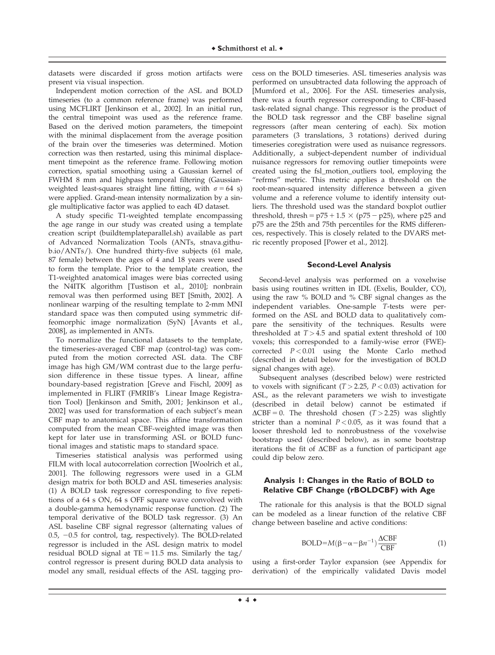datasets were discarded if gross motion artifacts were present via visual inspection.

Independent motion correction of the ASL and BOLD timeseries (to a common reference frame) was performed using MCFLIRT [Jenkinson et al., 2002]. In an initial run, the central timepoint was used as the reference frame. Based on the derived motion parameters, the timepoint with the minimal displacement from the average position of the brain over the timeseries was determined. Motion correction was then restarted, using this minimal displacement timepoint as the reference frame. Following motion correction, spatial smoothing using a Gaussian kernel of FWHM 8 mm and highpass temporal filtering (Gaussianweighted least-squares straight line fitting, with  $\sigma = 64$  s) were applied. Grand-mean intensity normalization by a single multiplicative factor was applied to each 4D dataset.

A study specific T1-weighted template encompassing the age range in our study was created using a template creation script (buildtemplateparallel.sh) available as part of Advanced Normalization Tools (ANTs, stnava.github.io/ANTs/). One hundred thirty-five subjects (61 male, 87 female) between the ages of 4 and 18 years were used to form the template. Prior to the template creation, the T1-weighted anatomical images were bias corrected using the N4ITK algorithm [Tustison et al., 2010]; nonbrain removal was then performed using BET [Smith, 2002]. A nonlinear warping of the resulting template to 2-mm MNI standard space was then computed using symmetric diffeomorphic image normalization (SyN) [Avants et al., 2008], as implemented in ANTs.

To normalize the functional datasets to the template, the timeseries-averaged CBF map (control-tag) was computed from the motion corrected ASL data. The CBF image has high GM/WM contrast due to the large perfusion difference in these tissue types. A linear, affine boundary-based registration [Greve and Fischl, 2009] as implemented in FLIRT (FMRIB's Linear Image Registration Tool) [Jenkinson and Smith, 2001; Jenkinson et al., 2002] was used for transformation of each subject's mean CBF map to anatomical space. This affine transformation computed from the mean CBF-weighted image was then kept for later use in transforming ASL or BOLD functional images and statistic maps to standard space.

Timeseries statistical analysis was performed using FILM with local autocorrelation correction [Woolrich et al., 2001]. The following regressors were used in a GLM design matrix for both BOLD and ASL timeseries analysis: (1) A BOLD task regressor corresponding to five repetitions of a 64 s ON, 64 s OFF square wave convolved with a double-gamma hemodynamic response function. (2) The temporal derivative of the BOLD task regressor. (3) An ASL baseline CBF signal regressor (alternating values of  $0.5$ ,  $-0.5$  for control, tag, respectively). The BOLD-related regressor is included in the ASL design matrix to model residual BOLD signal at TE = 11.5 ms. Similarly the tag/ control regressor is present during BOLD data analysis to model any small, residual effects of the ASL tagging process on the BOLD timeseries. ASL timeseries analysis was performed on unsubtracted data following the approach of [Mumford et al., 2006]. For the ASL timeseries analysis, there was a fourth regressor corresponding to CBF-based task-related signal change. This regressor is the product of the BOLD task regressor and the CBF baseline signal regressors (after mean centering of each). Six motion parameters (3 translations, 3 rotations) derived during timeseries coregistration were used as nuisance regressors. Additionally, a subject-dependent number of individual nuisance regressors for removing outlier timepoints were created using the fsl\_motion\_outliers tool, employing the "refrms" metric. This metric applies a threshold on the root-mean-squared intensity difference between a given volume and a reference volume to identify intensity outliers. The threshold used was the standard boxplot outlier threshold, thresh =  $p75 + 1.5 \times (p75 - p25)$ , where p25 and p75 are the 25th and 75th percentiles for the RMS differences, respectively. This is closely related to the DVARS metric recently proposed [Power et al., 2012].

#### **Second-Level Analysis**

Second-level analysis was performed on a voxelwise basis using routines written in IDL (Exelis, Boulder, CO), using the raw % BOLD and % CBF signal changes as the independent variables. One-sample T-tests were performed on the ASL and BOLD data to qualitatively compare the sensitivity of the techniques. Results were thresholded at  $T > 4.5$  and spatial extent threshold of 100 voxels; this corresponded to a family-wise error (FWE) corrected  $P < 0.01$  using the Monte Carlo method (described in detail below for the investigation of BOLD signal changes with age).

Subsequent analyses (described below) were restricted to voxels with significant  $(T > 2.25, P < 0.03)$  activation for ASL, as the relevant parameters we wish to investigate (described in detail below) cannot be estimated if  $\triangle CBF = 0$ . The threshold chosen (T > 2.25) was slightly stricter than a nominal  $P < 0.05$ , as it was found that a looser threshold led to nonrobustness of the voxelwise bootstrap used (described below), as in some bootstrap iterations the fit of  $\triangle CBF$  as a function of participant age could dip below zero.

# **Analysis 1: Changes in the Ratio of BOLD to Relative CBF Change (rBOLDCBF) with Age**

The rationale for this analysis is that the BOLD signal can be modeled as a linear function of the relative CBF change between baseline and active conditions:

$$
BOLD = M(\beta - \alpha - \beta n^{-1}) \frac{\Delta CBF}{CBF}
$$
 (1)

using a first-order Taylor expansion (see Appendix for derivation) of the empirically validated Davis model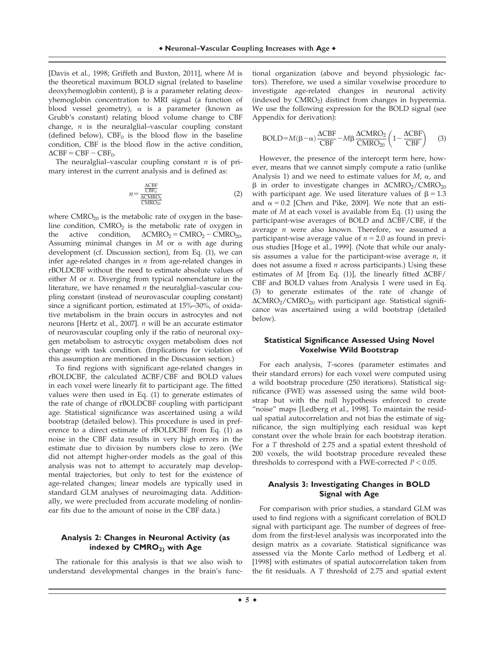[Davis et al., 1998; Griffeth and Buxton, 2011], where M is the theoretical maximum BOLD signal (related to baseline deoxyhemoglobin content),  $\beta$  is a parameter relating deoxyhemoglobin concentration to MRI signal (a function of blood vessel geometry),  $\alpha$  is a parameter (known as Grubb's constant) relating blood volume change to CBF change,  $n$  is the neuralglial–vascular coupling constant (defined below),  $CBF_0$  is the blood flow in the baseline condition, CBF is the blood flow in the active condition,  $\triangle CBF = CBF - CBF_0.$ 

The neuralglial–vascular coupling constant  $n$  is of primary interest in the current analysis and is defined as:

$$
n = \frac{\frac{\Delta CBF}{CBER_0}}{\frac{\Delta CMRO_2}{CMRO_{20}}}
$$
 (2)

where  $CMRO<sub>20</sub>$  is the metabolic rate of oxygen in the baseline condition,  $CMRO<sub>2</sub>$  is the metabolic rate of oxygen in the active condition,  $\triangle CMRO_2 = CMRO_2 - CMRO_{20}$ . Assuming minimal changes in  $M$  or  $\alpha$  with age during development (cf. Discussion section), from Eq. (1), we can infer age-related changes in  $n$  from age-related changes in rBOLDCBF without the need to estimate absolute values of either M or n. Diverging from typical nomenclature in the literature, we have renamed  $n$  the neuralglial–vascular coupling constant (instead of neurovascular coupling constant) since a significant portion, estimated at 15%–30%, of oxidative metabolism in the brain occurs in astrocytes and not neurons [Hertz et al., 2007]. n will be an accurate estimator of neurovascular coupling only if the ratio of neuronal oxygen metabolism to astrocytic oxygen metabolism does not change with task condition. (Implications for violation of this assumption are mentioned in the Discussion section.)

To find regions with significant age-related changes in rBOLDCBF, the calculated  $\Delta CBF/CBF$  and BOLD values in each voxel were linearly fit to participant age. The fitted values were then used in Eq. (1) to generate estimates of the rate of change of rBOLDCBF coupling with participant age. Statistical significance was ascertained using a wild bootstrap (detailed below). This procedure is used in preference to a direct estimate of rBOLDCBF from Eq. (1) as noise in the CBF data results in very high errors in the estimate due to division by numbers close to zero. (We did not attempt higher-order models as the goal of this analysis was not to attempt to accurately map developmental trajectories, but only to test for the existence of age-related changes; linear models are typically used in standard GLM analyses of neuroimaging data. Additionally, we were precluded from accurate modeling of nonlinear fits due to the amount of noise in the CBF data.)

# **Analysis 2: Changes in Neuronal Activity (as indexed by CMRO2) with Age**

The rationale for this analysis is that we also wish to understand developmental changes in the brain's func-

tional organization (above and beyond physiologic factors). Therefore, we used a similar voxelwise procedure to investigate age-related changes in neuronal activity (indexed by  $CMRO<sub>2</sub>$ ) distinct from changes in hyperemia. We use the following expression for the BOLD signal (see Appendix for derivation):

$$
BOLD = M(\beta - \alpha) \frac{\Delta CBF}{CBF} - M\beta \frac{\Delta CMRO_2}{CMRO_{20}} \left(1 - \frac{\Delta CBF}{CBF}\right) \tag{3}
$$

However, the presence of the intercept term here, however, means that we cannot simply compute a ratio (unlike Analysis 1) and we need to estimate values for  $M$ ,  $\alpha$ , and  $\beta$  in order to investigate changes in  $\Delta CMRO_2/CMRO_{20}$ with participant age. We used literature values of  $\beta = 1.3$ and  $\alpha = 0.2$  [Chen and Pike, 2009]. We note that an estimate of M at each voxel is available from Eq. (1) using the participant-wise averages of BOLD and  $\Delta$ CBF/CBF, if the average  $n$  were also known. Therefore, we assumed a participant-wise average value of  $n = 2.0$  as found in previous studies [Hoge et al., 1999]. (Note that while our analysis assumes a value for the participant-wise average  $n$ , it does not assume a fixed  $n$  across participants.) Using these estimates of  $M$  [from Eq. (1)], the linearly fitted  $\Delta CBF/$ CBF and BOLD values from Analysis 1 were used in Eq. (3) to generate estimates of the rate of change of  $\Delta CMRO_2/CMRO_{20}$  with participant age. Statistical significance was ascertained using a wild bootstrap (detailed below).

# **Statistical Significance Assessed Using Novel Voxelwise Wild Bootstrap**

For each analysis, T-scores (parameter estimates and their standard errors) for each voxel were computed using a wild bootstrap procedure (250 iterations). Statistical significance (FWE) was assessed using the same wild bootstrap but with the null hypothesis enforced to create "noise" maps [Ledberg et al., 1998]. To maintain the residual spatial autocorrelation and not bias the estimate of significance, the sign multiplying each residual was kept constant over the whole brain for each bootstrap iteration. For a T threshold of 2.75 and a spatial extent threshold of 200 voxels, the wild bootstrap procedure revealed these thresholds to correspond with a FWE-corrected  $P < 0.05$ .

# **Analysis 3: Investigating Changes in BOLD Signal with Age**

For comparison with prior studies, a standard GLM was used to find regions with a significant correlation of BOLD signal with participant age. The number of degrees of freedom from the first-level analysis was incorporated into the design matrix as a covariate. Statistical significance was assessed via the Monte Carlo method of Ledberg et al. [1998] with estimates of spatial autocorrelation taken from the fit residuals. A  $T$  threshold of 2.75 and spatial extent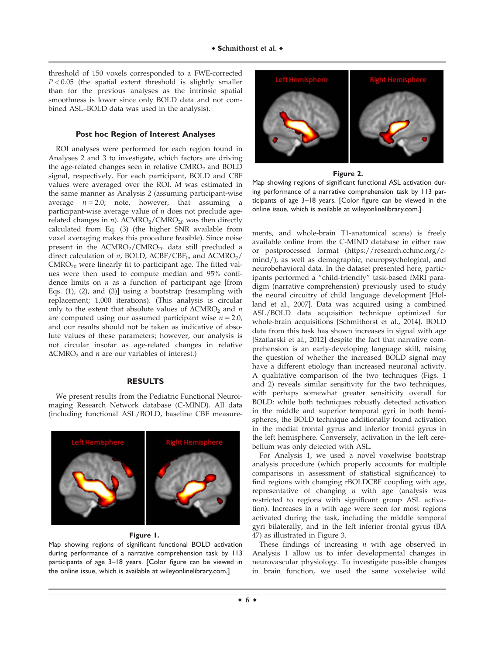threshold of 150 voxels corresponded to a FWE-corrected  $P < 0.05$  (the spatial extent threshold is slightly smaller than for the previous analyses as the intrinsic spatial smoothness is lower since only BOLD data and not combined ASL–BOLD data was used in the analysis).

#### **Post hoc Region of Interest Analyses**

ROI analyses were performed for each region found in Analyses 2 and 3 to investigate, which factors are driving the age-related changes seen in relative  $CMRO<sub>2</sub>$  and  $BOLD$ signal, respectively. For each participant, BOLD and CBF values were averaged over the ROI. M was estimated in the same manner as Analysis 2 (assuming participant-wise average  $n = 2.0$ ; note, however, that assuming a participant-wise average value of  $n$  does not preclude agerelated changes in  $n$ ).  $\Delta CMRO_2/CMRO_{20}$  was then directly calculated from Eq. (3) (the higher SNR available from voxel averaging makes this procedure feasible). Since noise present in the  $\Delta CMRO_2/CMRO_{20}$  data still precluded a direct calculation of *n*, BOLD,  $\triangle CBF/CBF_0$ , and  $\triangle CMRO_2$ /  $CMRO<sub>20</sub>$  were linearly fit to participant age. The fitted values were then used to compute median and 95% confidence limits on  $n$  as a function of participant age [from Eqs. (1), (2), and (3)] using a bootstrap (resampling with replacement; 1,000 iterations). (This analysis is circular only to the extent that absolute values of  $\triangle CMRO_2$  and n are computed using our assumed participant wise  $n = 2.0$ , and our results should not be taken as indicative of absolute values of these parameters; however, our analysis is not circular insofar as age-related changes in relative  $\triangle CMRO_2$  and *n* are our variables of interest.)

# **RESULTS**

We present results from the Pediatric Functional Neuroimaging Research Network database (C-MIND). All data (including functional ASL/BOLD, baseline CBF measure-



#### **Figure 1.**

Map showing regions of significant functional BOLD activation during performance of a narrative comprehension task by 113 participants of age 3–18 years. [Color figure can be viewed in the online issue, which is available at [wileyonlinelibrary.com.](http://wileyonlinelibrary.com)]



**Figure 2.**

Map showing regions of significant functional ASL activation during performance of a narrative comprehension task by 113 participants of age 3–18 years. [Color figure can be viewed in the online issue, which is available at [wileyonlinelibrary.com.](http://wileyonlinelibrary.com)]

ments, and whole-brain T1-anatomical scans) is freely available online from the C-MIND database in either raw or postprocessed format ([https://research.cchmc.org/c](https://research.cchmc.org/c-mind/)[mind/\)](https://research.cchmc.org/c-mind/), as well as demographic, neuropsychological, and neurobehavioral data. In the dataset presented here, participants performed a "child-friendly" task-based fMRI paradigm (narrative comprehension) previously used to study the neural circuitry of child language development [Holland et al., 2007]. Data was acquired using a combined ASL/BOLD data acquisition technique optimized for whole-brain acquisitions [Schmithorst et al., 2014]. BOLD data from this task has shown increases in signal with age [Szaflarski et al., 2012] despite the fact that narrative comprehension is an early-developing language skill, raising the question of whether the increased BOLD signal may have a different etiology than increased neuronal activity. A qualitative comparison of the two techniques (Figs. 1 and 2) reveals similar sensitivity for the two techniques, with perhaps somewhat greater sensitivity overall for BOLD: while both techniques robustly detected activation in the middle and superior temporal gyri in both hemispheres, the BOLD technique additionally found activation in the medial frontal gyrus and inferior frontal gyrus in the left hemisphere. Conversely, activation in the left cerebellum was only detected with ASL.

For Analysis 1, we used a novel voxelwise bootstrap analysis procedure (which properly accounts for multiple comparisons in assessment of statistical significance) to find regions with changing rBOLDCBF coupling with age, representative of changing  $n$  with age (analysis was restricted to regions with significant group ASL activation). Increases in  $n$  with age were seen for most regions activated during the task, including the middle temporal gyri bilaterally, and in the left inferior frontal gyrus (BA 47) as illustrated in Figure 3.

These findings of increasing  $n$  with age observed in Analysis 1 allow us to infer developmental changes in neurovascular physiology. To investigate possible changes in brain function, we used the same voxelwise wild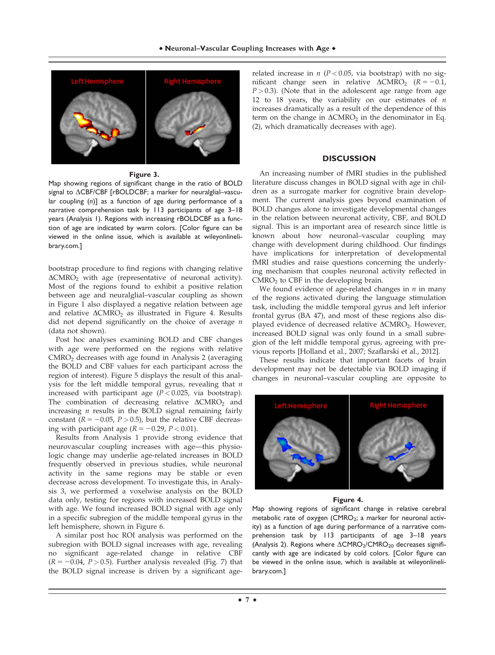

#### **Figure 3.**

Map showing regions of significant change in the ratio of BOLD signal to  $\triangle$ CBF/CBF [rBOLDCBF; a marker for neuralglial-vascular coupling (*n*)] as a function of age during performance of a narrative comprehension task by 113 participants of age 3–18 years (Analysis 1). Regions with increasing rBOLDCBF as a function of age are indicated by warm colors. [Color figure can be viewed in the online issue, which is available at [wileyonlineli](http://wileyonlinelibrary.com)[brary.com.](http://wileyonlinelibrary.com)]

bootstrap procedure to find regions with changing relative  $\Delta CMRO<sub>2</sub>$  with age (representative of neuronal activity). Most of the regions found to exhibit a positive relation between age and neuralglial–vascular coupling as shown in Figure 1 also displayed a negative relation between age and relative  $\triangle CMRO<sub>2</sub>$  as illustrated in Figure 4. Results did not depend significantly on the choice of average  $n$ (data not shown).

Post hoc analyses examining BOLD and CBF changes with age were performed on the regions with relative  $CMRO<sub>2</sub>$  decreases with age found in Analysis 2 (averaging the BOLD and CBF values for each participant across the region of interest). Figure 5 displays the result of this analysis for the left middle temporal gyrus, revealing that  $n$ increased with participant age  $(P < 0.025$ , via bootstrap). The combination of decreasing relative  $\triangle CMRO_2$  and increasing  $n$  results in the BOLD signal remaining fairly constant ( $R = -0.05$ ,  $P > 0.5$ ), but the relative CBF decreasing with participant age ( $R = -0.29$ ,  $P < 0.01$ ).

Results from Analysis 1 provide strong evidence that neurovascular coupling increases with age—this physiologic change may underlie age-related increases in BOLD frequently observed in previous studies, while neuronal activity in the same regions may be stable or even decrease across development. To investigate this, in Analysis 3, we performed a voxelwise analysis on the BOLD data only, testing for regions with increased BOLD signal with age. We found increased BOLD signal with age only in a specific subregion of the middle temporal gyrus in the left hemisphere, shown in Figure 6.

A similar post hoc ROI analysis was performed on the subregion with BOLD signal increases with age, revealing no significant age-related change in relative CBF  $(R = -0.04, P > 0.5)$ . Further analysis revealed (Fig. 7) that the BOLD signal increase is driven by a significant agerelated increase in  $n$  ( $P < 0.05$ , via bootstrap) with no significant change seen in relative  $\triangle CMRO_2$  ( $R = -0.1$ ,  $P > 0.3$ ). (Note that in the adolescent age range from age 12 to 18 years, the variability on our estimates of  $n$ increases dramatically as a result of the dependence of this term on the change in  $\Delta CMRO<sub>2</sub>$  in the denominator in Eq. (2), which dramatically decreases with age).

# **DISCUSSION**

An increasing number of fMRI studies in the published literature discuss changes in BOLD signal with age in children as a surrogate marker for cognitive brain development. The current analysis goes beyond examination of BOLD changes alone to investigate developmental changes in the relation between neuronal activity, CBF, and BOLD signal. This is an important area of research since little is known about how neuronal–vascular coupling may change with development during childhood. Our findings have implications for interpretation of developmental fMRI studies and raise questions concerning the underlying mechanism that couples neuronal activity reflected in  $CMRO<sub>2</sub>$  to CBF in the developing brain.

We found evidence of age-related changes in  $n$  in many of the regions activated during the language stimulation task, including the middle temporal gyrus and left inferior frontal gyrus (BA 47), and most of these regions also displayed evidence of decreased relative  $\triangle CMRO_2$ . However, increased BOLD signal was only found in a small subregion of the left middle temporal gyrus, agreeing with previous reports [Holland et al., 2007; Szaflarski et al., 2012].

These results indicate that important facets of brain development may not be detectable via BOLD imaging if changes in neuronal–vascular coupling are opposite to



#### **Figure 4.**

Map showing regions of significant change in relative cerebral metabolic rate of oxygen (CMRO<sub>2</sub>; a marker for neuronal activity) as a function of age during performance of a narrative comprehension task by 113 participants of age 3–18 years (Analysis 2). Regions where  $\Delta CMRO_2/CMRO_{20}$  decreases significantly with age are indicated by cold colors. [Color figure can be viewed in the online issue, which is available at [wileyonlineli](http://wileyonlinelibrary.com)[brary.com.](http://wileyonlinelibrary.com)]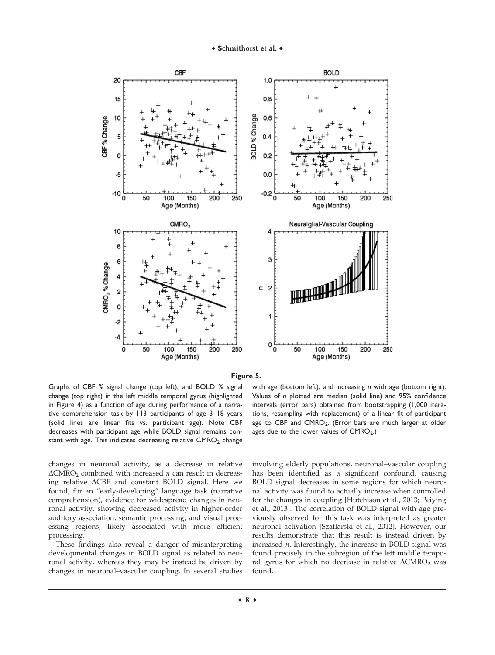



Graphs of CBF % signal change (top left), and BOLD % signal change (top right) in the left middle temporal gyrus (highlighted in Figure 4) as a function of age during performance of a narrative comprehension task by 113 participants of age 3–18 years (solid lines are linear fits vs. participant age). Note CBF decreases with participant age while BOLD signal remains constant with age. This indicates decreasing relative  $CMRO<sub>2</sub>$  change

changes in neuronal activity, as a decrease in relative  $\triangle CMRO_2$  combined with increased *n* can result in decreasing relative  $\triangle CBF$  and constant BOLD signal. Here we found, for an "early-developing" language task (narrative comprehension), evidence for widespread changes in neuronal activity, showing decreased activity in higher-order auditory association, semantic processing, and visual processing regions, likely associated with more efficient processing.

These findings also reveal a danger of misinterpreting developmental changes in BOLD signal as related to neuronal activity, whereas they may be instead be driven by changes in neuronal–vascular coupling. In several studies

with age (bottom left), and increasing *n* with age (bottom right). Values of *n* plotted are median (solid line) and 95% confidence intervals (error bars) obtained from bootstrapping (1,000 iterations, resampling with replacement) of a linear fit of participant age to CBF and CMRO<sub>2</sub>. (Error bars are much larger at older ages due to the lower values of  $CMRO<sub>2</sub>$ .)

involving elderly populations, neuronal–vascular coupling has been identified as a significant confound, causing BOLD signal decreases in some regions for which neuronal activity was found to actually increase when controlled for the changes in coupling [Hutchison et al., 2013; Peiying et al., 2013]. The correlation of BOLD signal with age previously observed for this task was interpreted as greater neuronal activation [Szaflarski et al., 2012]. However, our results demonstrate that this result is instead driven by increased  $n$ . Interestingly, the increase in BOLD signal was found precisely in the subregion of the left middle temporal gyrus for which no decrease in relative  $\Delta CMRO_2$  was found.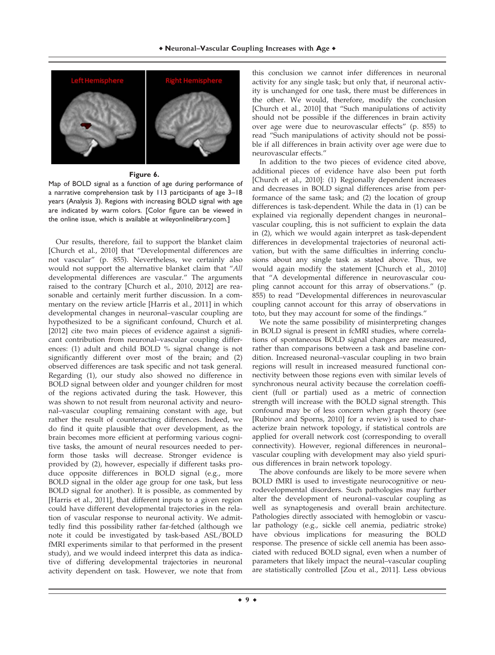

#### **Figure 6.**

Map of BOLD signal as a function of age during performance of a narrative comprehension task by 113 participants of age 3–18 years (Analysis 3). Regions with increasing BOLD signal with age are indicated by warm colors. [Color figure can be viewed in the online issue, which is available at [wileyonlinelibrary.com.](http://wileyonlinelibrary.com)]

Our results, therefore, fail to support the blanket claim [Church et al., 2010] that "Developmental differences are not vascular" (p. 855). Nevertheless, we certainly also would not support the alternative blanket claim that "All developmental differences are vascular." The arguments raised to the contrary [Church et al., 2010, 2012] are reasonable and certainly merit further discussion. In a commentary on the review article [Harris et al., 2011] in which developmental changes in neuronal–vascular coupling are hypothesized to be a significant confound, Church et al. [2012] cite two main pieces of evidence against a significant contribution from neuronal–vascular coupling differences: (1) adult and child BOLD % signal change is not significantly different over most of the brain; and (2) observed differences are task specific and not task general. Regarding (1), our study also showed no difference in BOLD signal between older and younger children for most of the regions activated during the task. However, this was shown to not result from neuronal activity and neuronal–vascular coupling remaining constant with age, but rather the result of counteracting differences. Indeed, we do find it quite plausible that over development, as the brain becomes more efficient at performing various cognitive tasks, the amount of neural resources needed to perform those tasks will decrease. Stronger evidence is provided by (2), however, especially if different tasks produce opposite differences in BOLD signal (e.g., more BOLD signal in the older age group for one task, but less BOLD signal for another). It is possible, as commented by [Harris et al., 2011], that different inputs to a given region could have different developmental trajectories in the relation of vascular response to neuronal activity. We admittedly find this possibility rather far-fetched (although we note it could be investigated by task-based ASL/BOLD fMRI experiments similar to that performed in the present study), and we would indeed interpret this data as indicative of differing developmental trajectories in neuronal activity dependent on task. However, we note that from

this conclusion we cannot infer differences in neuronal activity for any single task; but only that, if neuronal activity is unchanged for one task, there must be differences in the other. We would, therefore, modify the conclusion [Church et al., 2010] that "Such manipulations of activity should not be possible if the differences in brain activity over age were due to neurovascular effects" (p. 855) to read "Such manipulations of activity should not be possible if all differences in brain activity over age were due to neurovascular effects."

In addition to the two pieces of evidence cited above, additional pieces of evidence have also been put forth [Church et al., 2010]: (1) Regionally dependent increases and decreases in BOLD signal differences arise from performance of the same task; and (2) the location of group differences is task-dependent. While the data in (1) can be explained via regionally dependent changes in neuronal– vascular coupling, this is not sufficient to explain the data in (2), which we would again interpret as task-dependent differences in developmental trajectories of neuronal activation, but with the same difficulties in inferring conclusions about any single task as stated above. Thus, we would again modify the statement [Church et al., 2010] that "A developmental difference in neurovascular coupling cannot account for this array of observations." (p. 855) to read "Developmental differences in neurovascular coupling cannot account for this array of observations in toto, but they may account for some of the findings."

We note the same possibility of misinterpreting changes in BOLD signal is present in fcMRI studies, where correlations of spontaneous BOLD signal changes are measured, rather than comparisons between a task and baseline condition. Increased neuronal–vascular coupling in two brain regions will result in increased measured functional connectivity between those regions even with similar levels of synchronous neural activity because the correlation coefficient (full or partial) used as a metric of connection strength will increase with the BOLD signal strength. This confound may be of less concern when graph theory (see [Rubinov and Sporns, 2010] for a review) is used to characterize brain network topology, if statistical controls are applied for overall network cost (corresponding to overall connectivity). However, regional differences in neuronal– vascular coupling with development may also yield spurious differences in brain network topology.

The above confounds are likely to be more severe when BOLD fMRI is used to investigate neurocognitive or neurodevelopmental disorders. Such pathologies may further alter the development of neuronal–vascular coupling as well as synaptogenesis and overall brain architecture. Pathologies directly associated with hemoglobin or vascular pathology (e.g., sickle cell anemia, pediatric stroke) have obvious implications for measuring the BOLD response. The presence of sickle cell anemia has been associated with reduced BOLD signal, even when a number of parameters that likely impact the neural–vascular coupling are statistically controlled [Zou et al., 2011]. Less obvious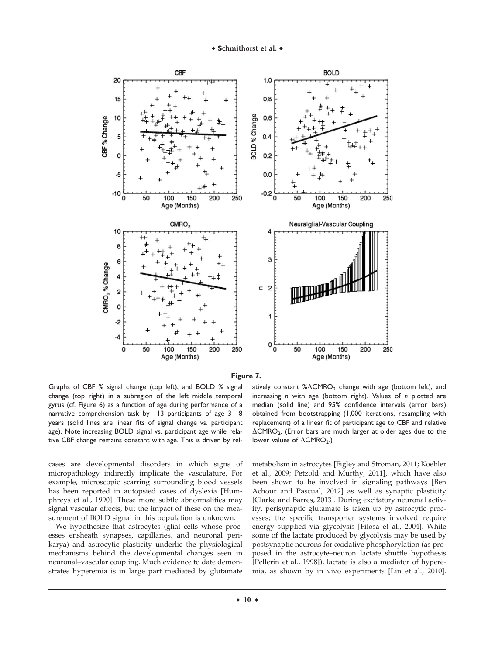



Graphs of CBF % signal change (top left), and BOLD % signal change (top right) in a subregion of the left middle temporal gyrus (cf. Figure 6) as a function of age during performance of a narrative comprehension task by 113 participants of age 3–18 years (solid lines are linear fits of signal change vs. participant age). Note increasing BOLD signal vs. participant age while relative CBF change remains constant with age. This is driven by rel-

cases are developmental disorders in which signs of micropathology indirectly implicate the vasculature. For example, microscopic scarring surrounding blood vessels has been reported in autopsied cases of dyslexia [Humphreys et al., 1990]. These more subtle abnormalities may signal vascular effects, but the impact of these on the measurement of BOLD signal in this population is unknown.

We hypothesize that astrocytes (glial cells whose processes ensheath synapses, capillaries, and neuronal perikarya) and astrocytic plasticity underlie the physiological mechanisms behind the developmental changes seen in neuronal–vascular coupling. Much evidence to date demonstrates hyperemia is in large part mediated by glutamate

atively constant  $\% \Delta CMRO_2$  change with age (bottom left), and increasing *n* with age (bottom right). Values of *n* plotted are median (solid line) and 95% confidence intervals (error bars) obtained from bootstrapping (1,000 iterations, resampling with replacement) of a linear fit of participant age to CBF and relative  $\triangle CMRO_2$ . (Error bars are much larger at older ages due to the lower values of  $\triangle CMRO_2$ .)

metabolism in astrocytes [Figley and Stroman, 2011; Koehler et al., 2009; Petzold and Murthy, 2011], which have also been shown to be involved in signaling pathways [Ben Achour and Pascual, 2012] as well as synaptic plasticity [Clarke and Barres, 2013]. During excitatory neuronal activity, perisynaptic glutamate is taken up by astrocytic processes; the specific transporter systems involved require energy supplied via glycolysis [Filosa et al., 2004]. While some of the lactate produced by glycolysis may be used by postsynaptic neurons for oxidative phosphorylation (as proposed in the astrocyte–neuron lactate shuttle hypothesis [Pellerin et al., 1998]), lactate is also a mediator of hyperemia, as shown by in vivo experiments [Lin et al., 2010].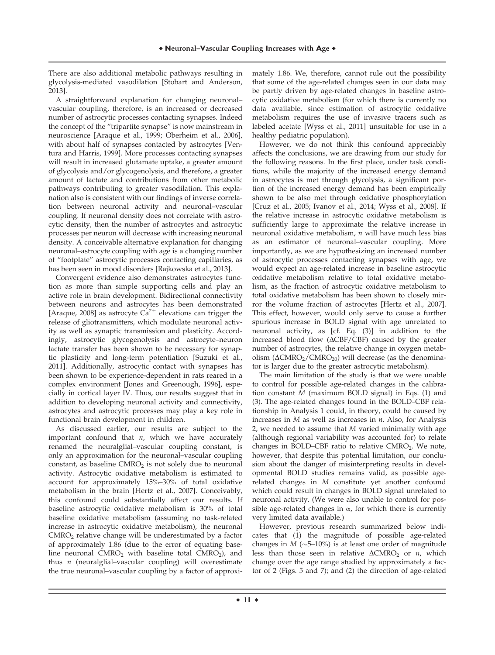There are also additional metabolic pathways resulting in glycolysis-mediated vasodilation [Stobart and Anderson, 2013].

A straightforward explanation for changing neuronal– vascular coupling, therefore, is an increased or decreased number of astrocytic processes contacting synapses. Indeed the concept of the "tripartite synapse" is now mainstream in neuroscience [Araque et al., 1999; Oberheim et al., 2006], with about half of synapses contacted by astrocytes [Ventura and Harris, 1999]. More processes contacting synapses will result in increased glutamate uptake, a greater amount of glycolysis and/or glycogenolysis, and therefore, a greater amount of lactate and contributions from other metabolic pathways contributing to greater vasodilation. This explanation also is consistent with our findings of inverse correlation between neuronal activity and neuronal–vascular coupling. If neuronal density does not correlate with astrocytic density, then the number of astrocytes and astrocytic processes per neuron will decrease with increasing neuronal density. A conceivable alternative explanation for changing neuronal–astrocyte coupling with age is a changing number of "footplate" astrocytic processes contacting capillaries, as has been seen in mood disorders [Rajkowska et al., 2013].

Convergent evidence also demonstrates astrocytes function as more than simple supporting cells and play an active role in brain development. Bidirectional connectivity between neurons and astrocytes has been demonstrated [Araque, 2008] as astrocyte  $Ca^{2+}$  elevations can trigger the release of gliotransmitters, which modulate neuronal activity as well as synaptic transmission and plasticity. Accordingly, astrocytic glycogenolysis and astrocyte–neuron lactate transfer has been shown to be necessary for synaptic plasticity and long-term potentiation [Suzuki et al., 2011]. Additionally, astrocytic contact with synapses has been shown to be experience-dependent in rats reared in a complex environment [Jones and Greenough, 1996], especially in cortical layer IV. Thus, our results suggest that in addition to developing neuronal activity and connectivity, astrocytes and astrocytic processes may play a key role in functional brain development in children.

As discussed earlier, our results are subject to the important confound that  $n$ , which we have accurately renamed the neuralglial–vascular coupling constant, is only an approximation for the neuronal–vascular coupling constant, as baseline  $CMRO<sub>2</sub>$  is not solely due to neuronal activity. Astrocytic oxidative metabolism is estimated to account for approximately 15%–30% of total oxidative metabolism in the brain [Hertz et al., 2007]. Conceivably, this confound could substantially affect our results. If baseline astrocytic oxidative metabolism is 30% of total baseline oxidative metabolism (assuming no task-related increase in astrocytic oxidative metabolism), the neuronal CMRO2 relative change will be underestimated by a factor of approximately 1.86 (due to the error of equating baseline neuronal  $CMRO<sub>2</sub>$  with baseline total  $CMRO<sub>2</sub>$ ), and thus  $n$  (neuralglial–vascular coupling) will overestimate the true neuronal–vascular coupling by a factor of approximately 1.86. We, therefore, cannot rule out the possibility that some of the age-related changes seen in our data may be partly driven by age-related changes in baseline astrocytic oxidative metabolism (for which there is currently no data available, since estimation of astrocytic oxidative metabolism requires the use of invasive tracers such as labeled acetate [Wyss et al., 2011] unsuitable for use in a healthy pediatric population).

However, we do not think this confound appreciably affects the conclusions, we are drawing from our study for the following reasons. In the first place, under task conditions, while the majority of the increased energy demand in astrocytes is met through glycolysis, a significant portion of the increased energy demand has been empirically shown to be also met through oxidative phosphorylation [Cruz et al., 2005; Ivanov et al., 2014; Wyss et al., 2008]. If the relative increase in astrocytic oxidative metabolism is sufficiently large to approximate the relative increase in neuronal oxidative metabolism, n will have much less bias as an estimator of neuronal–vascular coupling. More importantly, as we are hypothesizing an increased number of astrocytic processes contacting synapses with age, we would expect an age-related increase in baseline astrocytic oxidative metabolism relative to total oxidative metabolism, as the fraction of astrocytic oxidative metabolism to total oxidative metabolism has been shown to closely mirror the volume fraction of astrocytes [Hertz et al., 2007]. This effect, however, would only serve to cause a further spurious increase in BOLD signal with age unrelated to neuronal activity, as [cf. Eq. (3)] in addition to the increased blood flow  $(\triangle CBF/CBF)$  caused by the greater number of astrocytes, the relative change in oxygen metabolism ( $\Delta CMRO_2/CMRO_{20}$ ) will decrease (as the denominator is larger due to the greater astrocytic metabolism).

The main limitation of the study is that we were unable to control for possible age-related changes in the calibration constant M (maximum BOLD signal) in Eqs. (1) and (3). The age-related changes found in the BOLD–CBF relationship in Analysis 1 could, in theory, could be caused by increases in  $M$  as well as increases in  $n$ . Also, for Analysis 2, we needed to assume that M varied minimally with age (although regional variability was accounted for) to relate changes in BOLD–CBF ratio to relative CMRO<sub>2</sub>. We note, however, that despite this potential limitation, our conclusion about the danger of misinterpreting results in developmental BOLD studies remains valid, as possible agerelated changes in M constitute yet another confound which could result in changes in BOLD signal unrelated to neuronal activity. (We were also unable to control for possible age-related changes in  $\alpha$ , for which there is currently very limited data available.)

However, previous research summarized below indicates that (1) the magnitude of possible age-related changes in  $M$  ( $\sim$ 5–10%) is at least one order of magnitude less than those seen in relative  $\triangle CMRO_2$  or *n*, which change over the age range studied by approximately a factor of 2 (Figs. 5 and 7); and (2) the direction of age-related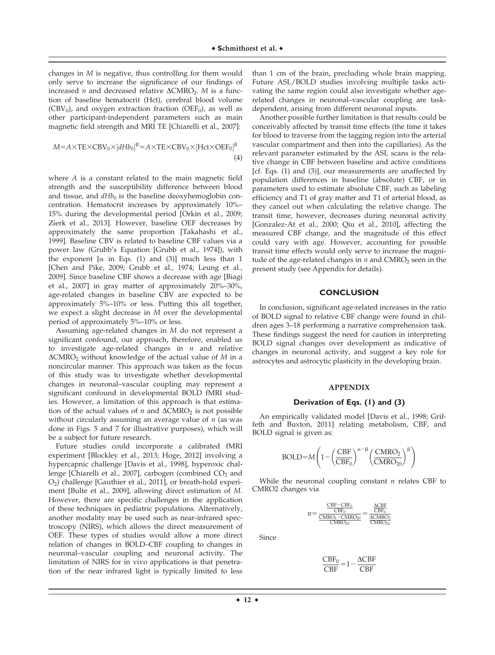changes in M is negative, thus controlling for them would only serve to increase the significance of our findings of increased *n* and decreased relative  $\triangle CMRO_2$ . *M* is a function of baseline hematocrit (Hct), cerebral blood volume  $(CBV_0)$ , and oxygen extraction fraction  $(OEF_0)$ , as well as other participant-independent parameters such as main magnetic field strength and MRI TE [Chiarelli et al., 2007]:

$$
M = A \times TE \times CBV_0 \times [dHb_0]^{\beta} = A \times TE \times CBV_0 \times [Het \times OEF_0]^{\beta}
$$
\n(4)

where A is a constant related to the main magnetic field strength and the susceptibility difference between blood and tissue, and  $dHb<sub>0</sub>$  is the baseline deoxyhemoglobin concentration. Hematocrit increases by approximately 10%– 15% during the developmental period [Orkin et al., 2009; Zierk et al., 2013]. However, baseline OEF decreases by approximately the same proportion [Takahashi et al., 1999]. Baseline CBV is related to baseline CBF values via a power law (Grubb's Equation [Grubb et al., 1974]), with the exponent  $[\alpha$  in Eqs. (1) and (3)] much less than 1 [Chen and Pike, 2009; Grubb et al., 1974; Leung et al., 2009]. Since baseline CBF shows a decrease with age [Biagi et al., 2007] in gray matter of approximately 20%–30%, age-related changes in baseline CBV are expected to be approximately 5%–10% or less. Putting this all together, we expect a slight decrease in M over the developmental period of approximately 5%–10% or less.

Assuming age-related changes in M do not represent a significant confound, our approach, therefore, enabled us to investigate age-related changes in  $n$  and relative  $\Delta CMRO<sub>2</sub>$  without knowledge of the actual value of M in a noncircular manner. This approach was taken as the focus of this study was to investigate whether developmental changes in neuronal–vascular coupling may represent a significant confound in developmental BOLD fMRI studies. However, a limitation of this approach is that estimation of the actual values of  $n$  and  $\Delta CMRO_2$  is not possible without circularly assuming an average value of  $n$  (as was done in Figs. 5 and 7 for illustrative purposes), which will be a subject for future research.

Future studies could incorporate a calibrated fMRI experiment [Blockley et al., 2013; Hoge, 2012] involving a hypercapnic challenge [Davis et al., 1998], hyperoxic challenge [Chiarelli et al., 2007], carbogen (combined  $CO<sub>2</sub>$  and O2) challenge [Gauthier et al., 2011], or breath-hold experiment [Bulte et al., 2009], allowing direct estimation of M. However, there are specific challenges in the application of these techniques in pediatric populations. Alternatively, another modality may be used such as near-infrared spectroscopy (NIRS), which allows the direct measurement of OEF. These types of studies would allow a more direct relation of changes in BOLD–CBF coupling to changes in neuronal–vascular coupling and neuronal activity. The limitation of NIRS for in vivo applications is that penetration of the near infrared light is typically limited to less

than 1 cm of the brain, precluding whole brain mapping. Future ASL/BOLD studies involving multiple tasks activating the same region could also investigate whether agerelated changes in neuronal–vascular coupling are taskdependent, arising from different neuronal inputs.

Another possible further limitation is that results could be conceivably affected by transit time effects (the time it takes for blood to traverse from the tagging region into the arterial vascular compartment and then into the capillaries). As the relevant parameter estimated by the ASL scans is the relative change in CBF between baseline and active conditions [cf. Eqs. (1) and (3)], our measurements are unaffected by population differences in baseline (absolute) CBF, or in parameters used to estimate absolute CBF, such as labeling efficiency and T1 of gray matter and T1 of arterial blood, as they cancel out when calculating the relative change. The transit time, however, decreases during neuronal activity [Gonzalez-At et al., 2000; Qiu et al., 2010], affecting the measured CBF change, and the magnitude of this effect could vary with age. However, accounting for possible transit time effects would only serve to increase the magnitude of the age-related changes in  $n$  and CMRO<sub>2</sub> seen in the present study (see Appendix for details).

#### **CONCLUSION**

In conclusion, significant age-related increases in the ratio of BOLD signal to relative CBF change were found in children ages 3–18 performing a narrative comprehension task. These findings suggest the need for caution in interpreting BOLD signal changes over development as indicative of changes in neuronal activity, and suggest a key role for astrocytes and astrocytic plasticity in the developing brain.

#### APPENDIX

#### **Derivation of Eqs. (1) and (3)**

An empirically validated model [Davis et al., 1998; Griffeth and Buxton, 2011] relating metabolism, CBF, and BOLD signal is given as:

$$
BOLD=M\Bigg(1-\bigg(\frac{CBF}{CBF_0}\bigg)^{\alpha-\beta}\bigg(\frac{CMRO_2}{CMRO_{20}}\bigg)^{\beta}\Bigg)
$$

While the neuronal coupling constant  $n$  relates CBF to CMRO2 changes via

$$
\vartheta = \frac{\frac{\text{CBF}-\text{CBF}_0}{\text{CBF}_0}}{\frac{\text{CMRO}_2-\text{CMRO}_{20}}{\text{CMRO}_{20}}} = \frac{\frac{\Delta \text{CBF}}{\text{CBF}_0}}{\frac{\Delta \text{CMRO}_2}{\text{CMRO}_{20}}}
$$

Since

$$
\frac{\text{CBF}_0}{\text{CBF}} = 1 - \frac{\Delta \text{CBF}}{\text{CBF}}
$$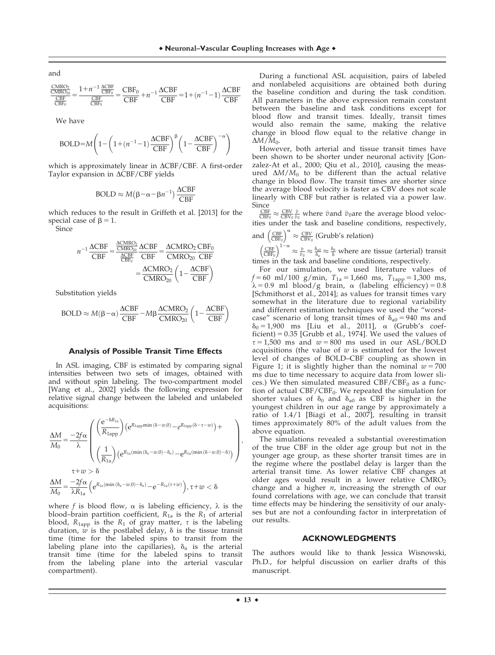and

$$
\frac{\frac{\text{CMRO}_2}{\text{CMRO}_{20}}}{\frac{\text{CBF}}{\text{CBF}_0}} = \frac{1 + n^{-1} \frac{\Delta \text{CBF}}{\text{CBF}_0}}{\frac{\text{CBF}}{\text{CBF}_0}} = \frac{\text{CBF}_0}{\text{CBF}} + n^{-1} \frac{\Delta \text{CBF}}{\text{CBF}} = 1 + (n^{-1} - 1) \frac{\Delta \text{CBF}}{\text{CBF}}
$$

We have

$$
BOLD=M\left(1-\left(1+(n^{-1}-1)\frac{\Delta CBF}{CBF}\right)^{\beta}\left(1-\frac{\Delta CBF}{CBF}\right)^{-\alpha}\right)
$$

which is approximately linear in  $\Delta$ CBF/CBF. A first-order Taylor expansion in  $\Delta$ CBF/CBF yields

$$
BOLD \approx M(\beta - \alpha - \beta n^{-1}) \frac{\Delta CBF}{CBF}
$$

which reduces to the result in Griffeth et al. [2013] for the special case of  $\beta = 1$ .

Since

$$
n^{-1} \frac{\Delta CBF}{CBF} = \frac{\frac{\Delta CMRO_{20}}{CMRO_{20}} \Delta CBF}{\frac{\Delta CBF}{CBF_{0}}} = \frac{\Delta CMRO_{2}}{CMRO_{20}} \frac{CBF_{0}}{CBF}
$$

$$
= \frac{\Delta CMRO_{2}}{CMRO_{20}} \left(1 - \frac{\Delta CBF}{CBF}\right)
$$

Substitution yields

$$
BOLD \approx \mathcal{M}(\beta-\alpha)\frac{\Delta CBF}{CBF}-\mathcal{M}\beta\frac{\Delta CMRO_{2}}{CMRO_{20}}\left(1-\frac{\Delta CBF}{CBF}\right)
$$

#### **Analysis of Possible Transit Time Effects**

In ASL imaging, CBF is estimated by comparing signal intensities between two sets of images, obtained with and without spin labeling. The two-compartment model [Wang et al., 2002] yields the following expression for relative signal change between the labeled and unlabeled acquisitions:

$$
\begin{split} \frac{\Delta M}{M_0}=&\frac{-2f\alpha}{\lambda}\left(\frac{\left(\dfrac{e^{-\delta R_{1a}}}{R_{1\text{app}}}\right)\left(e^{R_{1\text{app}}\text{min}\left(\delta-w,0\right)}-e^{R_{1\text{app}}\left(\delta-\tau-w\right)}\right)+}{\left(\dfrac{1}{R_{1a}}\right)\left(e^{R_{1a}\left(\text{min}\left(\delta_a-w,0\right)-\delta_a\right)}-e^{R_{1a}\left(\text{min}\left(\delta-w,0\right)-\delta\right)}\right)},\\ &\tau+w>\delta\\ \frac{\Delta M}{M_0}=&\frac{-2f\alpha}{\lambda R_{1a}}\left(e^{R_{1a}\left(\text{min}\left(\delta_a-w,0\right)-\delta_a\right)}-e^{-R_{1a}\left(\tau+w\right)}\right),\tau+w<\delta \end{split}
$$

where f is blood flow,  $\alpha$  is labeling efficiency,  $\lambda$  is the blood–brain partition coefficient,  $R_{1a}$  is the  $R_1$  of arterial blood,  $R_{1app}$  is the  $R_1$  of gray matter,  $\tau$  is the labeling duration,  $\vec{w}$  is the postlabel delay,  $\delta$  is the tissue transit time (time for the labeled spins to transit from the labeling plane into the capillaries),  $\delta_a$  is the arterial transit time (time for the labeled spins to transit from the labeling plane into the arterial vascular compartment).

During a functional ASL acquisition, pairs of labeled and nonlabeled acquisitions are obtained both during the baseline condition and during the task condition. All parameters in the above expression remain constant between the baseline and task conditions except for blood flow and transit times. Ideally, transit times would also remain the same, making the relative change in blood flow equal to the relative change in  $\Delta M/M_0$ .

However, both arterial and tissue transit times have been shown to be shorter under neuronal activity [Gonzalez-At et al., 2000; Qiu et al., 2010], causing the measured  $\Delta M/M_0$  to be different than the actual relative change in blood flow. The transit times are shorter since the average blood velocity is faster as CBV does not scale linearly with CBF but rather is related via a power law. Since

 $\frac{\text{CBF}}{\text{CBF}_0} \approx \frac{\text{CBV}}{\text{CBV}_0} \frac{\bar{v}}{\bar{v}_0}$  where  $\bar{v}$  and  $\bar{v}_0$  are the average blood velocities under the task and baseline conditions, respectively,

and 
$$
\left(\frac{\text{CBF}}{\text{CBF}_0}\right)^{\alpha} \approx \frac{\text{CBV}}{\text{CBV}_0}
$$
 (Grubb's relation)

CBF CBF0  $\left(\frac{CBF}{CBF_0}\right)^{1-\alpha} \approx \frac{\bar{v}}{\bar{v}_0} \approx \frac{\delta_0}{\delta_a} \approx \frac{\delta_0}{\delta}$  where are tissue (arterial) transit times in the task and baseline conditions, respectively.

For our simulation, we used literature values of  $f = 60 \text{ ml}/100 \text{ g/min}$ ,  $T_{1a} = 1,660 \text{ ms}$ ,  $T_{1app} = 1,300 \text{ ms}$ ,  $\lambda = 0.9$  ml blood/g brain,  $\alpha$  (labeling efficiency) = 0.8 [Schmithorst et al., 2014]; as values for transit times vary somewhat in the literature due to regional variability and different estimation techniques we used the "worstcase" scenario of long transit times of  $\delta_{a0} = 940$  ms and  $\delta_0 = 1,900$  ms [Liu et al., 2011],  $\alpha$  (Grubb's coefficient) =  $0.35$  [Grubb et al., 1974]. We used the values of  $\tau = 1,500$  ms and  $w = 800$  ms used in our ASL/BOLD acquisitions (the value of  $w$  is estimated for the lowest level of changes of BOLD–CBF coupling as shown in Figure 1; it is slightly higher than the nominal  $w = 700$ ms due to time necessary to acquire data from lower slices.) We then simulated measured  $CBF/CBF_0$  as a function of actual  $CBF/CBF_0$ . We repeated the simulation for shorter values of  $\delta_0$  and  $\delta_{a0}$  as CBF is higher in the youngest children in our age range by approximately a ratio of 1.4/1 [Biagi et al., 2007], resulting in transit times approximately 80% of the adult values from the above equation.

The simulations revealed a substantial overestimation of the true CBF in the older age group but not in the younger age group, as these shorter transit times are in the regime where the postlabel delay is larger than the arterial transit time. As lower relative CBF changes at older ages would result in a lower relative  $CMRO<sub>2</sub>$ change and a higher  $n$ , increasing the strength of our found correlations with age, we can conclude that transit time effects may be hindering the sensitivity of our analyses but are not a confounding factor in interpretation of our results.

#### **ACKNOWLEDGMENTS**

The authors would like to thank Jessica Wisnowski, Ph.D., for helpful discussion on earlier drafts of this manuscript.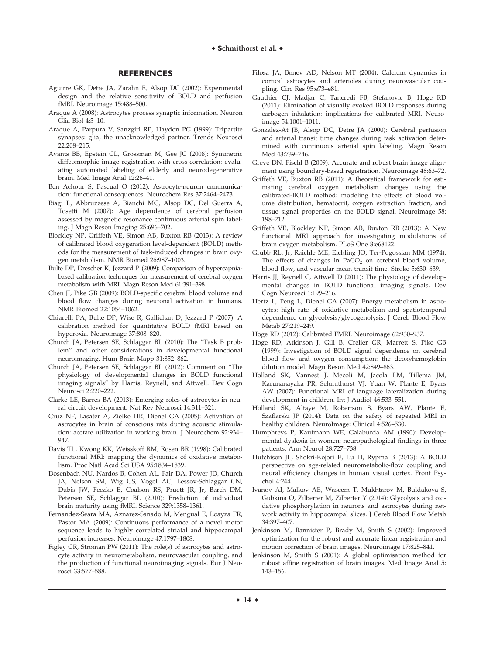#### **REFERENCES**

- Aguirre GK, Detre JA, Zarahn E, Alsop DC (2002): Experimental design and the relative sensitivity of BOLD and perfusion fMRI. Neuroimage 15:488–500.
- Araque A (2008): Astrocytes process synaptic information. Neuron Glia Biol 4:3–10.
- Araque A, Parpura V, Sanzgiri RP, Haydon PG (1999): Tripartite synapses: glia, the unacknowledged partner. Trends Neurosci 22:208–215.
- Avants BB, Epstein CL, Grossman M, Gee JC (2008): Symmetric diffeomorphic image registration with cross-correlation: evaluating automated labeling of elderly and neurodegenerative brain. Med Image Anal 12:26–41.
- Ben Achour S, Pascual O (2012): Astrocyte-neuron communication: functional consequences. Neurochem Res 37:2464–2473.
- Biagi L, Abbruzzese A, Bianchi MC, Alsop DC, Del Guerra A, Tosetti M (2007): Age dependence of cerebral perfusion assessed by magnetic resonance continuous arterial spin labeling. J Magn Reson Imaging 25:696–702.
- Blockley NP, Griffeth VE, Simon AB, Buxton RB (2013): A review of calibrated blood oxygenation level-dependent (BOLD) methods for the measurement of task-induced changes in brain oxygen metabolism. NMR Biomed 26:987–1003.
- Bulte DP, Drescher K, Jezzard P (2009): Comparison of hypercapniabased calibration techniques for measurement of cerebral oxygen metabolism with MRI. Magn Reson Med 61:391–398.
- Chen JJ, Pike GB (2009): BOLD-specific cerebral blood volume and blood flow changes during neuronal activation in humans. NMR Biomed 22:1054–1062.
- Chiarelli PA, Bulte DP, Wise R, Gallichan D, Jezzard P (2007): A calibration method for quantitative BOLD fMRI based on hyperoxia. Neuroimage 37:808–820.
- Church JA, Petersen SE, Schlaggar BL (2010): The "Task B problem" and other considerations in developmental functional neuroimaging. Hum Brain Mapp 31:852–862.
- Church JA, Petersen SE, Schlaggar BL (2012): Comment on "The physiology of developmental changes in BOLD functional imaging signals" by Harris, Reynell, and Attwell. Dev Cogn Neurosci 2:220–222.
- Clarke LE, Barres BA (2013): Emerging roles of astrocytes in neural circuit development. Nat Rev Neurosci 14:311–321.
- Cruz NF, Lasater A, Zielke HR, Dienel GA (2005): Activation of astrocytes in brain of conscious rats during acoustic stimulation: acetate utilization in working brain. J Neurochem 92:934– 947.
- Davis TL, Kwong KK, Weisskoff RM, Rosen BR (1998): Calibrated functional MRI: mapping the dynamics of oxidative metabolism. Proc Natl Acad Sci USA 95:1834–1839.
- Dosenbach NU, Nardos B, Cohen AL, Fair DA, Power JD, Church JA, Nelson SM, Wig GS, Vogel AC, Lessov-Schlaggar CN, Dubis JW, Feczko E, Coalson RS, Pruett JR, Jr, Barch DM, Petersen SE, Schlaggar BL (2010): Prediction of individual brain maturity using fMRI. Science 329:1358–1361.
- Fernandez-Seara MA, Aznarez-Sanado M, Mengual E, Loayza FR, Pastor MA (2009): Continuous performance of a novel motor sequence leads to highly correlated striatal and hippocampal perfusion increases. Neuroimage 47:1797–1808.
- Figley CR, Stroman PW (2011): The role(s) of astrocytes and astrocyte activity in neurometabolism, neurovascular coupling, and the production of functional neuroimaging signals. Eur J Neurosci 33:577–588.
- Filosa JA, Bonev AD, Nelson MT (2004): Calcium dynamics in cortical astrocytes and arterioles during neurovascular coupling. Circ Res 95:e73–e81.
- Gauthier CJ, Madjar C, Tancredi FB, Stefanovic B, Hoge RD (2011): Elimination of visually evoked BOLD responses during carbogen inhalation: implications for calibrated MRI. Neuroimage 54:1001–1011.
- Gonzalez-At JB, Alsop DC, Detre JA (2000): Cerebral perfusion and arterial transit time changes during task activation determined with continuous arterial spin labeling. Magn Reson Med 43:739–746.
- Greve DN, Fischl B (2009): Accurate and robust brain image alignment using boundary-based registration. Neuroimage 48:63–72.
- Griffeth VE, Buxton RB (2011): A theoretical framework for estimating cerebral oxygen metabolism changes using the calibrated-BOLD method: modeling the effects of blood volume distribution, hematocrit, oxygen extraction fraction, and tissue signal properties on the BOLD signal. Neuroimage 58: 198–212.
- Griffeth VE, Blockley NP, Simon AB, Buxton RB (2013): A New functional MRI approach for investigating modulations of brain oxygen metabolism. PLoS One 8:e68122.
- Grubb RL, Jr, Raichle ME, Eichling JO, Ter-Pogossian MM (1974): The effects of changes in PaCO<sub>2</sub> on cerebral blood volume, blood flow, and vascular mean transit time. Stroke 5:630–639.
- Harris JJ, Reynell C, Attwell D (2011): The physiology of developmental changes in BOLD functional imaging signals. Dev Cogn Neurosci 1:199–216.
- Hertz L, Peng L, Dienel GA (2007): Energy metabolism in astrocytes: high rate of oxidative metabolism and spatiotemporal dependence on glycolysis/glycogenolysis. J Cereb Blood Flow Metab 27:219–249.
- Hoge RD (2012): Calibrated FMRI. Neuroimage 62:930–937.
- Hoge RD, Atkinson J, Gill B, Crelier GR, Marrett S, Pike GB (1999): Investigation of BOLD signal dependence on cerebral blood flow and oxygen consumption: the deoxyhemoglobin dilution model. Magn Reson Med 42:849–863.
- Holland SK, Vannest J, Mecoli M, Jacola LM, Tillema JM, Karunanayaka PR, Schmithorst VJ, Yuan W, Plante E, Byars AW (2007): Functional MRI of language lateralization during development in children. Int J Audiol 46:533–551.
- Holland SK, Altaye M, Robertson S, Byars AW, Plante E, Szaflarski JP (2014): Data on the safety of repeated MRI in healthy children. NeuroImage: Clinical 4:526–530.
- Humphreys P, Kaufmann WE, Galaburda AM (1990): Developmental dyslexia in women: neuropathological findings in three patients. Ann Neurol 28:727–738.
- Hutchison JL, Shokri-Kojori E, Lu H, Rypma B (2013): A BOLD perspective on age-related neurometabolic-flow coupling and neural efficiency changes in human visual cortex. Front Psychol 4:244.
- Ivanov AI, Malkov AE, Waseem T, Mukhtarov M, Buldakova S, Gubkina O, Zilberter M, Zilberter Y (2014): Glycolysis and oxidative phosphorylation in neurons and astrocytes during network activity in hippocampal slices. J Cereb Blood Flow Metab 34:397–407.
- Jenkinson M, Bannister P, Brady M, Smith S (2002): Improved optimization for the robust and accurate linear registration and motion correction of brain images. Neuroimage 17:825–841.
- Jenkinson M, Smith S (2001): A global optimisation method for robust affine registration of brain images. Med Image Anal 5: 143–156.